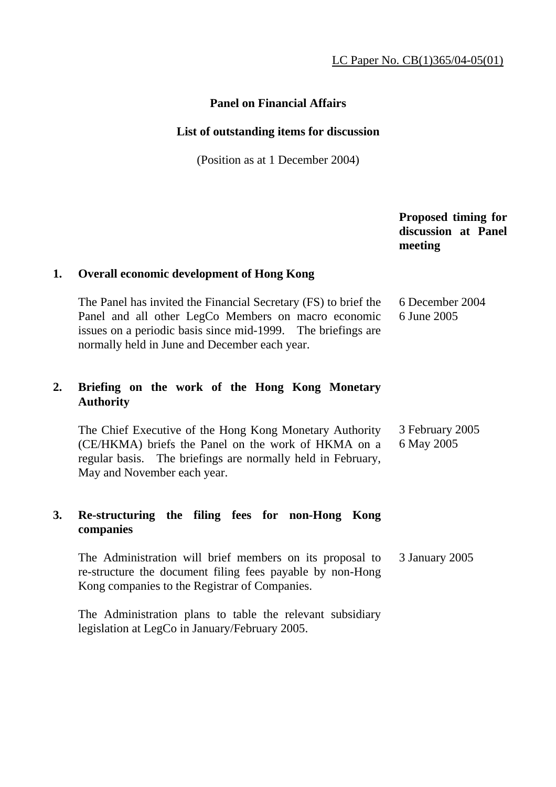## **Panel on Financial Affairs**

# **List of outstanding items for discussion**

(Position as at 1 December 2004)

|    |                                                                                                                                                                                                                                         | Proposed timing for<br>discussion at Panel<br>meeting |
|----|-----------------------------------------------------------------------------------------------------------------------------------------------------------------------------------------------------------------------------------------|-------------------------------------------------------|
| 1. | <b>Overall economic development of Hong Kong</b>                                                                                                                                                                                        |                                                       |
|    | The Panel has invited the Financial Secretary (FS) to brief the<br>Panel and all other LegCo Members on macro economic<br>issues on a periodic basis since mid-1999. The briefings are<br>normally held in June and December each year. | 6 December 2004<br>6 June 2005                        |
| 2. | Briefing on the work of the Hong Kong Monetary<br><b>Authority</b>                                                                                                                                                                      |                                                       |
|    | The Chief Executive of the Hong Kong Monetary Authority<br>(CE/HKMA) briefs the Panel on the work of HKMA on a<br>regular basis. The briefings are normally held in February,<br>May and November each year.                            | 3 February 2005<br>6 May 2005                         |
| 3. | Re-structuring the filing fees for non-Hong Kong<br>companies                                                                                                                                                                           |                                                       |
|    | The Administration will brief members on its proposal to<br>re-structure the document filing fees payable by non-Hong<br>Kong companies to the Registrar of Companies.                                                                  | 3 January 2005                                        |
|    | The Administration plans to table the relevant subsidiary<br>legislation at LegCo in January/February 2005.                                                                                                                             |                                                       |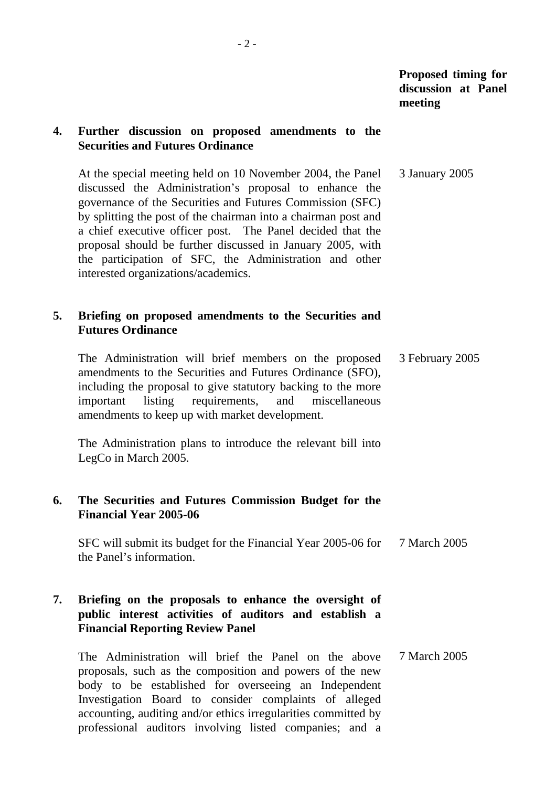### **4. Further discussion on proposed amendments to the Securities and Futures Ordinance**

 At the special meeting held on 10 November 2004, the Panel discussed the Administration's proposal to enhance the governance of the Securities and Futures Commission (SFC) by splitting the post of the chairman into a chairman post and a chief executive officer post. The Panel decided that the proposal should be further discussed in January 2005, with the participation of SFC, the Administration and other interested organizations/academics. 3 January 2005

### **5. Briefing on proposed amendments to the Securities and Futures Ordinance**

 The Administration will brief members on the proposed amendments to the Securities and Futures Ordinance (SFO), including the proposal to give statutory backing to the more important listing requirements, and miscellaneous amendments to keep up with market development. 3 February 2005

 The Administration plans to introduce the relevant bill into LegCo in March 2005.

### **6. The Securities and Futures Commission Budget for the Financial Year 2005-06**

 SFC will submit its budget for the Financial Year 2005-06 for the Panel's information. 7 March 2005

### **7. Briefing on the proposals to enhance the oversight of public interest activities of auditors and establish a Financial Reporting Review Panel**

 The Administration will brief the Panel on the above proposals, such as the composition and powers of the new body to be established for overseeing an Independent Investigation Board to consider complaints of alleged accounting, auditing and/or ethics irregularities committed by professional auditors involving listed companies; and a 7 March 2005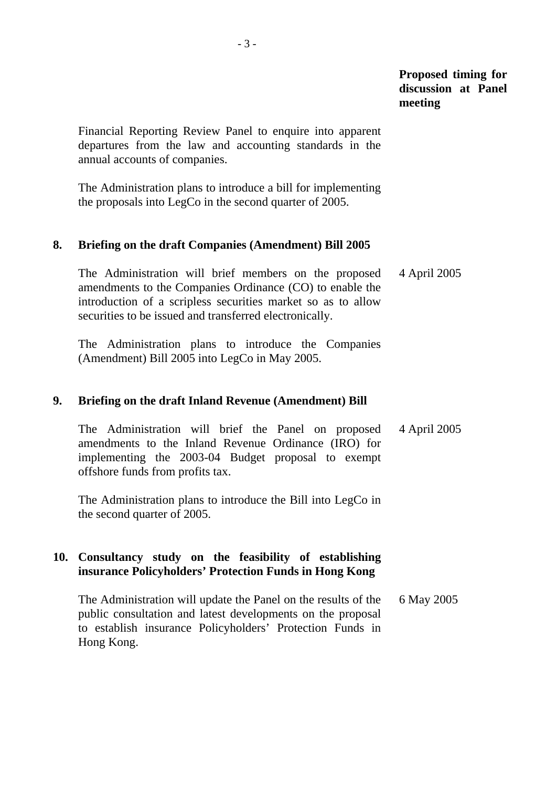Financial Reporting Review Panel to enquire into apparent departures from the law and accounting standards in the annual accounts of companies.

 The Administration plans to introduce a bill for implementing the proposals into LegCo in the second quarter of 2005.

### **8. Briefing on the draft Companies (Amendment) Bill 2005**

 The Administration will brief members on the proposed amendments to the Companies Ordinance (CO) to enable the introduction of a scripless securities market so as to allow securities to be issued and transferred electronically. 4 April 2005

 The Administration plans to introduce the Companies (Amendment) Bill 2005 into LegCo in May 2005.

#### **9. Briefing on the draft Inland Revenue (Amendment) Bill**

 The Administration will brief the Panel on proposed amendments to the Inland Revenue Ordinance (IRO) for implementing the 2003-04 Budget proposal to exempt offshore funds from profits tax. 4 April 2005

 The Administration plans to introduce the Bill into LegCo in the second quarter of 2005.

### **10. Consultancy study on the feasibility of establishing insurance Policyholders' Protection Funds in Hong Kong**

 The Administration will update the Panel on the results of the public consultation and latest developments on the proposal to establish insurance Policyholders' Protection Funds in Hong Kong. 6 May 2005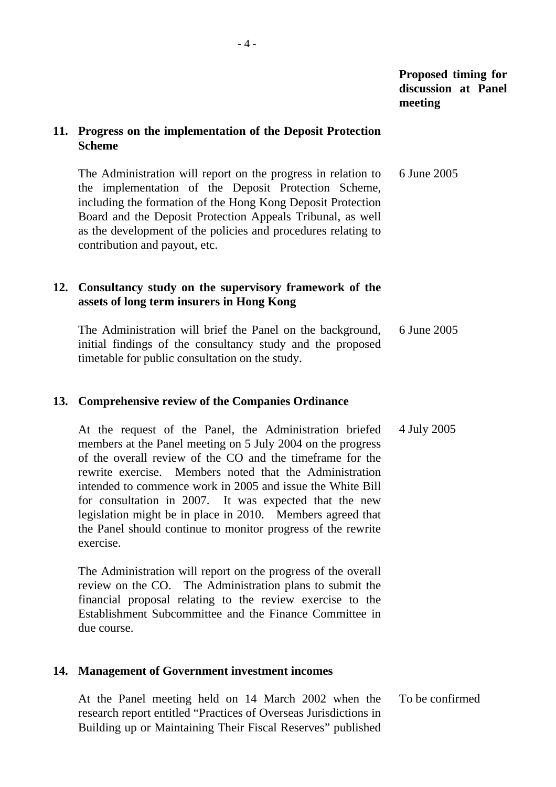### **11. Progress on the implementation of the Deposit Protection Scheme**

 The Administration will report on the progress in relation to the implementation of the Deposit Protection Scheme, including the formation of the Hong Kong Deposit Protection Board and the Deposit Protection Appeals Tribunal, as well as the development of the policies and procedures relating to contribution and payout, etc. 6 June 2005

### **12. Consultancy study on the supervisory framework of the assets of long term insurers in Hong Kong**

 The Administration will brief the Panel on the background, initial findings of the consultancy study and the proposed timetable for public consultation on the study. 6 June 2005

### **13. Comprehensive review of the Companies Ordinance**

 At the request of the Panel, the Administration briefed members at the Panel meeting on 5 July 2004 on the progress of the overall review of the CO and the timeframe for the rewrite exercise. Members noted that the Administration intended to commence work in 2005 and issue the White Bill for consultation in 2007. It was expected that the new legislation might be in place in 2010. Members agreed that the Panel should continue to monitor progress of the rewrite exercise. 4 July 2005

 The Administration will report on the progress of the overall review on the CO. The Administration plans to submit the financial proposal relating to the review exercise to the Establishment Subcommittee and the Finance Committee in due course.

### **14. Management of Government investment incomes**

 At the Panel meeting held on 14 March 2002 when the research report entitled "Practices of Overseas Jurisdictions in Building up or Maintaining Their Fiscal Reserves" published To be confirmed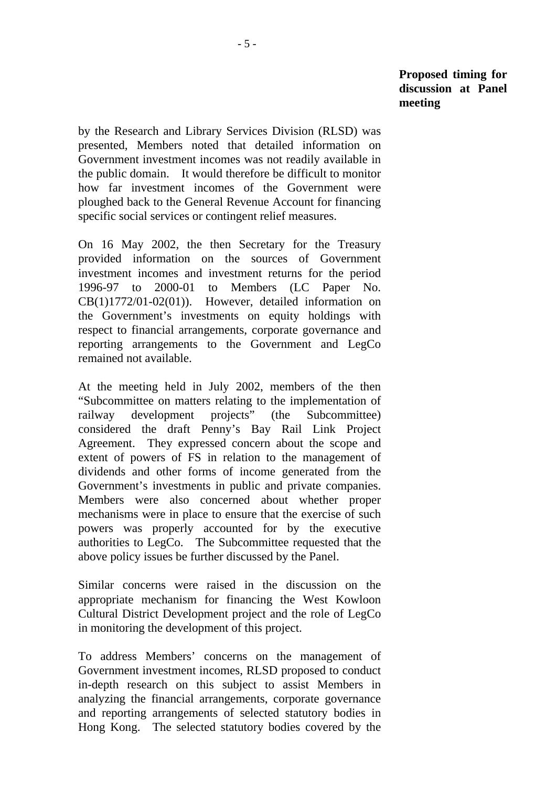by the Research and Library Services Division (RLSD) was presented, Members noted that detailed information on Government investment incomes was not readily available in the public domain. It would therefore be difficult to monitor how far investment incomes of the Government were ploughed back to the General Revenue Account for financing specific social services or contingent relief measures.

 On 16 May 2002, the then Secretary for the Treasury provided information on the sources of Government investment incomes and investment returns for the period 1996-97 to 2000-01 to Members (LC Paper No. CB(1)1772/01-02(01)). However, detailed information on the Government's investments on equity holdings with respect to financial arrangements, corporate governance and reporting arrangements to the Government and LegCo remained not available.

 At the meeting held in July 2002, members of the then "Subcommittee on matters relating to the implementation of railway development projects" (the Subcommittee) considered the draft Penny's Bay Rail Link Project Agreement. They expressed concern about the scope and extent of powers of FS in relation to the management of dividends and other forms of income generated from the Government's investments in public and private companies. Members were also concerned about whether proper mechanisms were in place to ensure that the exercise of such powers was properly accounted for by the executive authorities to LegCo. The Subcommittee requested that the above policy issues be further discussed by the Panel.

 Similar concerns were raised in the discussion on the appropriate mechanism for financing the West Kowloon Cultural District Development project and the role of LegCo in monitoring the development of this project.

 To address Members' concerns on the management of Government investment incomes, RLSD proposed to conduct in-depth research on this subject to assist Members in analyzing the financial arrangements, corporate governance and reporting arrangements of selected statutory bodies in Hong Kong. The selected statutory bodies covered by the